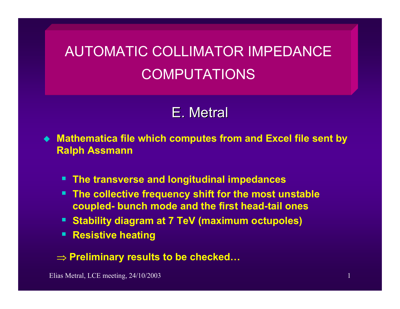# AUTOMATIC COLLIMATOR IMPEDANCE COMPUTATIONS

# E. Metral

 **Mathematica file which computes from and Excel file sent by Ralph Assmann**

- **The transverse and longitudinal impedances**
- **The collective frequency shift for the most unstable coupled- bunch mode and the first head-tail ones**
- **Stability diagram at 7 TeV (maximum octupoles)**
- **Resistive heating**

# ⇒ **Preliminary results to be checked…**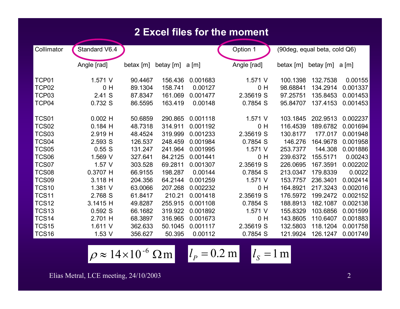### **2 Excel files for the moment**

| Collimator        | Standard V6.4 |             |           |          | Option 1       | (90 deg, equal beta, cold Q6) |           |          |
|-------------------|---------------|-------------|-----------|----------|----------------|-------------------------------|-----------|----------|
|                   | Angle [rad]   | betax $[m]$ | betay [m] | a[m]     | Angle [rad]    | betax $[m]$                   | betay [m] | a[m]     |
| TCP01             | 1.571 V       | 90.4467     | 156.436   | 0.001683 | 1.571 V        | 100.1398                      | 132.7538  | 0.00155  |
| TCP <sub>02</sub> | 0 H           | 89.1304     | 158.741   | 0.00127  | 0 H            | 98.68841                      | 134.2914  | 0.001337 |
| TCP03             | 2.41 S        | 87.8347     | 161.069   | 0.001477 | 2.35619 S      | 97.25751                      | 135.8453  | 0.001453 |
| TCP04             | 0.732 S       | 86.5595     | 163.419   | 0.00148  | 0.7854 S       | 95.84707                      | 137.4153  | 0.001453 |
| <b>TCS01</b>      | $0.002$ H     | 50.6859     | 290.865   | 0.001118 | 1.571 V        | 103.1845                      | 202.9513  | 0.002237 |
| <b>TCS02</b>      | $0.184$ H     | 48.7318     | 314.911   | 0.001192 | 0 <sub>H</sub> | 116.4539                      | 189.6782  | 0.001694 |
| <b>TCS03</b>      | 2.919 H       | 48.4524     | 319.999   | 0.001233 | 2.35619 S      | 130.8177                      | 177.017   | 0.001948 |
| TCS04             | 2.593 S       | 126.537     | 248.459   | 0.001984 | 0.7854 S       | 146.276                       | 164.9678  | 0.001958 |
| <b>TCS05</b>      | 0.55S         | 131.247     | 241.964   | 0.001995 | 1.571 V        | 253.7377                      | 144.308   | 0.001886 |
| TCS06             | 1.569 V       | 327.641     | 84.2125   | 0.001441 | 0 H            | 239.6372                      | 155.5171  | 0.00243  |
| TCS07             | $1.57$ V      | 303.528     | 69.2811   | 0.001307 | 2.35619 S      | 226.0695                      | 167.3591  | 0.002202 |
| <b>TCS08</b>      | 0.3707 H      | 66.9155     | 198.287   | 0.00144  | 0.7854 S       | 213.0347                      | 179.8339  | 0.0022   |
| TCS09             | 3.118 H       | 204.356     | 64.2144   | 0.001259 | 1.571 V        | 153.7757                      | 236.3401  | 0.002414 |
| <b>TCS10</b>      | 1.381 V       | 63.0066     | 207.268   | 0.002232 | 0 H            | 164.8921                      | 217.3243  | 0.002016 |
| <b>TCS11</b>      | 2.768 S       | 61.8417     | 210.21    | 0.001418 | 2.35619 S      | 176.5972                      | 199.2472  | 0.002152 |
| <b>TCS12</b>      | 3.1415 H      | 49.8287     | 255.915   | 0.001108 | 0.7854 S       | 188.8913                      | 182.1087  | 0.002138 |
| <b>TCS13</b>      | 0.592S        | 66.1682     | 319.922   | 0.001892 | 1.571 V        | 155.8329                      | 103.6856  | 0.001599 |
| TCS <sub>14</sub> | 2.701 H       | 68.3897     | 316.965   | 0.001673 | 0 H            | 143.8605                      | 110.6407  | 0.001883 |
| <b>TCS15</b>      | 1.611 V       | 362.633     | 50.1045   | 0.001117 | 2.35619 S      | 132.5803                      | 118.1204  | 0.001758 |
| <b>TCS16</b>      | 1.53V         | 356.627     | 50.395    | 0.00112  | 0.7854 S       | 121.9924                      | 126.1247  | 0.001749 |

$$
\rho \approx 14 \times 10^{-6} \text{ }\Omega \text{ m} \qquad l_P = 0.2 \text{ m} \qquad l_S = 1 \text{ m}
$$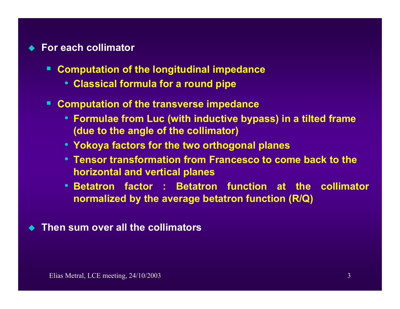### ◆ For each collimator

- $\blacksquare$  **Computation of the longitudinal impedance** 
	- **Classical formula for a round pipe**
- $\blacksquare$  **Computation of the transverse impedance** 
	- **Formulae from Luc (with inductive bypass) in a tilted frame (due to the angle of the collimator)**
	- **Yokoya factors for the two orthogonal planes**
	- **Tensor transformation from Francesco to come back to the horizontal and vertical planes**
	- **Betatron factor : Betatron function at the collimator normalized by the average betatron function (R/Q)**
- ♦ **Then sum over all the collimators**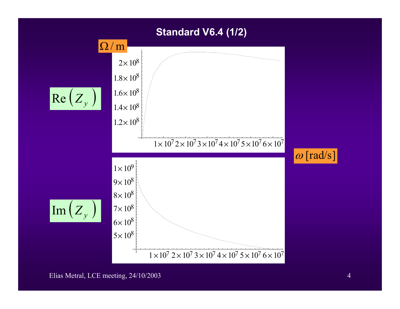## **Standard V6.4 (1/2)**

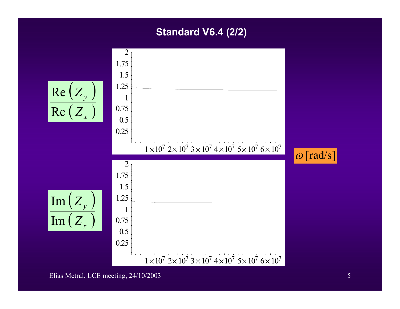# **Standard V6.4 (2/2)**

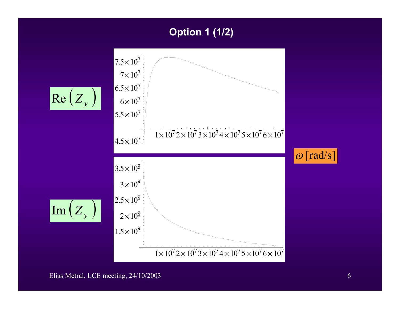# **Option 1 (1/2)**

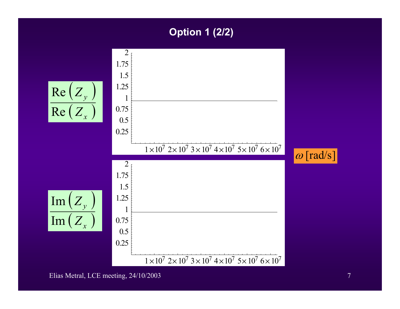# **Option 1 (2/2)**

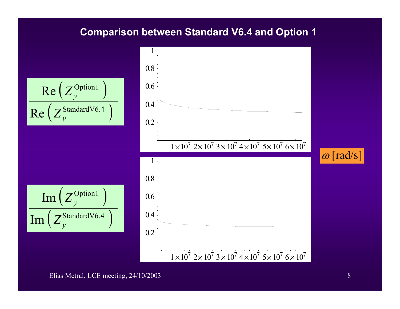### **Comparison between Standard V6.4 and Option 1**

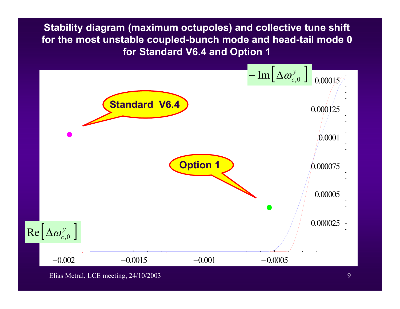**Stability diagram (maximum octupoles) and collective tune shift for the most unstable coupled-bunch mode and head-tail mode 0 for Standard V6.4 and Option 1**



Elias Metral, LCE meeting, 24/10/2003 9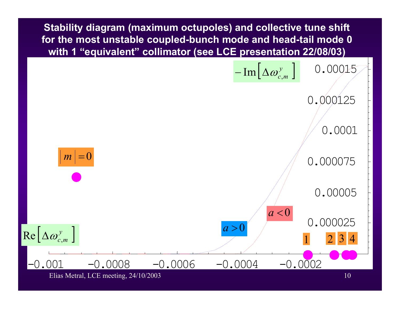**Stability diagram (maximum octupoles) and collective tune shift for the most unstable coupled-bunch mode and head-tail mode 0 with 1 "equivalent" collimator (see LCE presentation 22/08/03)**



Elias Metral, LCE meeting, 24/10/2003 10